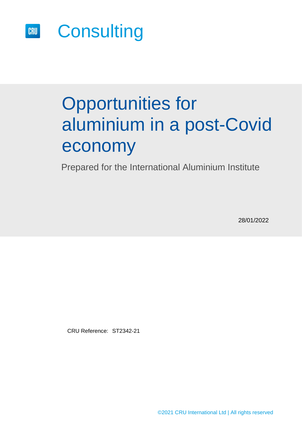

# Opportunities for aluminium in a post-Covid economy

Prepared for the International Aluminium Institute

28/01/2022

CRU Reference: ST2342-21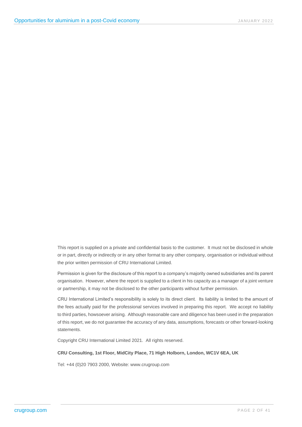This report is supplied on a private and confidential basis to the customer. It must not be disclosed in whole or in part, directly or indirectly or in any other format to any other company, organisation or individual without the prior written permission of CRU International Limited.

Permission is given for the disclosure of this report to a company's majority owned subsidiaries and its parent organisation. However, where the report is supplied to a client in his capacity as a manager of a joint venture or partnership, it may not be disclosed to the other participants without further permission.

CRU International Limited's responsibility is solely to its direct client. Its liability is limited to the amount of the fees actually paid for the professional services involved in preparing this report. We accept no liability to third parties, howsoever arising. Although reasonable care and diligence has been used in the preparation of this report, we do not guarantee the accuracy of any data, assumptions, forecasts or other forward-looking statements.

Copyright CRU International Limited 2021. All rights reserved.

#### **CRU Consulting, 1st Floor, MidCity Place, 71 High Holborn, London, WC1V 6EA, UK**

Tel: +44 (0)20 7903 2000, Website: www.crugroup.com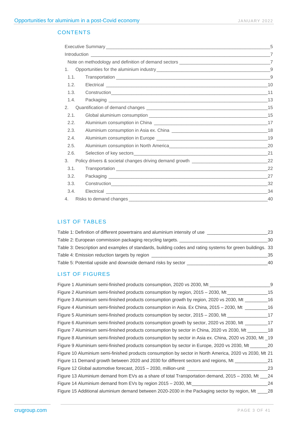### **CONTENTS**

|      |                                                                                   | 5   |
|------|-----------------------------------------------------------------------------------|-----|
|      |                                                                                   |     |
|      |                                                                                   |     |
| 1.   |                                                                                   |     |
| 1.1. |                                                                                   | 9   |
| 1.2. |                                                                                   |     |
| 1.3. |                                                                                   |     |
| 1.4. |                                                                                   |     |
| 2.   |                                                                                   |     |
| 2.1. |                                                                                   |     |
| 2.2. |                                                                                   |     |
| 2.3. |                                                                                   |     |
| 2.4. |                                                                                   |     |
| 2.5. |                                                                                   |     |
| 2.6. |                                                                                   | 21  |
| 3.   | Policy drivers & societal changes driving demand growth _________________________ | 22  |
| 3.1. |                                                                                   | -22 |
| 3.2. |                                                                                   | 27  |
| 3.3. |                                                                                   |     |
| 3.4. |                                                                                   | 34  |
| 4.   |                                                                                   | 40  |

#### LIST OF TABLES

| Table 1: Definition of different powertrains and aluminium intensity of use                               | 23  |
|-----------------------------------------------------------------------------------------------------------|-----|
| Table 2: European commission packaging recycling targets.                                                 | 30  |
| Table 3: Description and examples of standards, building codes and rating systems for green buildings. 33 |     |
| Table 4: Emission reduction targets by region                                                             | 35. |
| Table 5: Potential upside and downside demand risks by sector                                             | 40. |

#### LIST OF FIGURES

| Figure 1 Aluminium semi-finished products consumption, 2020 vs 2030, Mt                                 | - 9  |
|---------------------------------------------------------------------------------------------------------|------|
| Figure 2 Aluminium semi-finished products consumption by region, 2015 – 2030, Mt                        | 15   |
| Figure 3 Aluminium semi-finished products consumption growth by region, 2020 vs 2030, Mt                | - 16 |
| 16 Figure 4 Aluminium semi-finished products consumption in Asia. Ex China, 2015 – 2030, Mt             |      |
| Figure 5 Aluminium semi-finished products consumption by sector, 2015 – 2030, Mt __________________     | 17   |
| Figure 6 Aluminium semi-finished products consumption growth by sector, 2020 vs 2030, Mt ___________17  |      |
| Figure 7 Aluminium semi-finished products consumption by sector in China, 2020 vs 2030, Mt _________18  |      |
| Figure 8 Aluminium semi-finished products consumption by sector in Asia ex. China, 2020 vs 2030, Mt _19 |      |
| Figure 9 Aluminium semi-finished products consumption by sector in Europe, 2020 vs 2030, Mt _______ 20  |      |
| Figure 10 Aluminium semi-finished products consumption by sector in North America, 2020 vs 2030, Mt 21  |      |
| Figure 11 Demand growth between 2020 and 2030 for different sectors and regions, Mt                     | 21   |
|                                                                                                         | 23   |
| Figure 13 Aluminium demand from EVs as a share of total Transportation demand, 2015 – 2030, Mt          | 24   |
| Figure 14 Aluminium demand from EVs by region 2015 – 2030, Mt                                           | 24   |
| Figure 15 Additional aluminium demand between 2020-2030 in the Packaging sector by region, Mt           | 28   |
|                                                                                                         |      |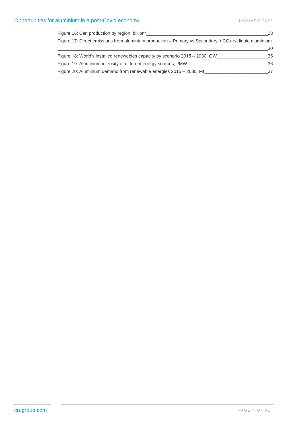| Figure 16: Can production by region, billion*                                                               | 28 |
|-------------------------------------------------------------------------------------------------------------|----|
| Figure 17: Direct emissions from aluminium production – Primary vs Secondary, t $CO2$ -e/t liquid aluminium |    |
|                                                                                                             | 30 |
| Figure 18: World's installed renewables capacity by scenario 2015 – 2030, GW                                | 35 |
| Figure 19: Aluminium intensity of different energy sources, t/MW                                            | 36 |
| Figure 20: Aluminium demand from renewable energies 2015 – 2030, Mt                                         | 37 |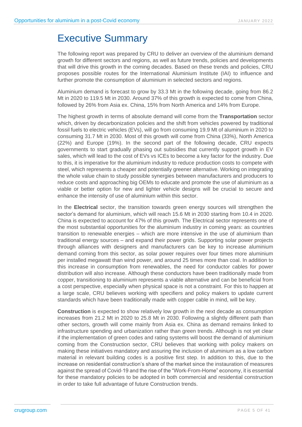# <span id="page-4-0"></span>Executive Summary

The following report was prepared by CRU to deliver an overview of the aluminium demand growth for different sectors and regions, as well as future trends, policies and developments that will drive this growth in the coming decades. Based on these trends and policies, CRU proposes possible routes for the International Aluminium Institute (IAI) to influence and further promote the consumption of aluminium in selected sectors and regions.

Aluminium demand is forecast to grow by 33.3 Mt in the following decade, going from 86.2 Mt in 2020 to 119.5 Mt in 2030. Around 37% of this growth is expected to come from China, followed by 26% from Asia ex. China, 15% from North America and 14% from Europe.

The highest growth in terms of absolute demand will come from the **Transportation** sector which, driven by decarbonization policies and the shift from vehicles powered by traditional fossil fuels to electric vehicles (EVs), will go from consuming 19.9 Mt of aluminium in 2020 to consuming 31.7 Mt in 2030. Most of this growth will come from China (33%), North America (22%) and Europe (19%). In the second part of the following decade, CRU expects governments to start gradually phasing out subsidies that currently support growth in EV sales, which will lead to the cost of EVs vs ICEs to become a key factor for the industry. Due to this, it is imperative for the aluminium industry to reduce production costs to compete with steel, which represents a cheaper and potentially greener alternative. Working on integrating the whole value chain to study possible synergies between manufacturers and producers to reduce costs and approaching big OEMs to educate and promote the use of aluminium as a viable or better option for new and lighter vehicle designs will be crucial to secure and enhance the intensity of use of aluminium within this sector.

In the **Electrical** sector, the transition towards green energy sources will strengthen the sector's demand for aluminium, which will reach 15.6 Mt in 2030 starting from 10.4 in 2020. China is expected to account for 47% of this growth. The Electrical sector represents one of the most substantial opportunities for the aluminium industry in coming years: as countries transition to renewable energies – which are more intensive in the use of aluminium than traditional energy sources – and expand their power grids. Supporting solar power projects through alliances with designers and manufacturers can be key to increase aluminium demand coming from this sector, as solar power requires over four times more aluminium per installed megawatt than wind power, and around 25 times more than coal. In addition to this increase in consumption from renewables, the need for conductor cables for power distribution will also increase. Although these conductors have been traditionally made from copper, transitioning to aluminium represents a viable alternative and can be beneficial from a cost perspective, especially when physical space is not a constraint. For this to happen at a large scale, CRU believes working with specifiers and policy makers to update current standards which have been traditionally made with copper cable in mind, will be key.

**Construction** is expected to show relatively low growth in the next decade as consumption increases from 21.2 Mt in 2020 to 25.8 Mt in 2030. Following a slightly different path than other sectors, growth will come mainly from Asia ex. China as demand remains linked to infrastructure spending and urbanization rather than green trends. Although is not yet clear if the implementation of green codes and rating systems will boost the demand of aluminium coming from the Construction sector, CRU believes that working with policy makers on making these initiatives mandatory and assuring the inclusion of aluminium as a low carbon material in relevant building codes is a positive first step. In addition to this, due to the increase on residential construction's share of the market since the instauration of measures against the spread of Covid-19 and the rise of the "Work-From-Home" economy, it is essential for these mandatory policies to be adopted in both commercial and residential construction in order to take full advantage of future Construction trends.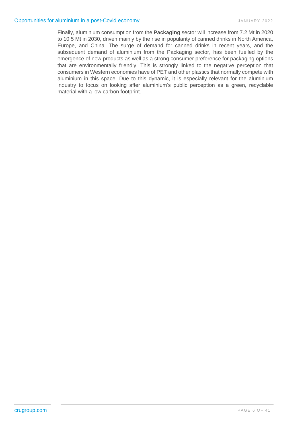Finally, aluminium consumption from the **Packaging** sector will increase from 7.2 Mt in 2020 to 10.5 Mt in 2030, driven mainly by the rise in popularity of canned drinks in North America, Europe, and China. The surge of demand for canned drinks in recent years, and the subsequent demand of aluminium from the Packaging sector, has been fuelled by the emergence of new products as well as a strong consumer preference for packaging options that are environmentally friendly. This is strongly linked to the negative perception that consumers in Western economies have of PET and other plastics that normally compete with aluminium in this space. Due to this dynamic, it is especially relevant for the aluminium industry to focus on looking after aluminium's public perception as a green, recyclable material with a low carbon footprint.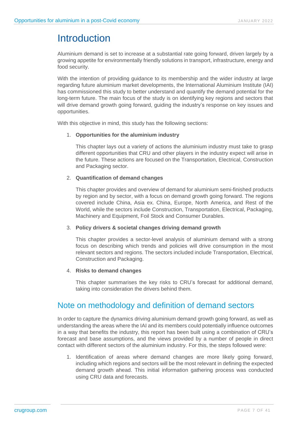# <span id="page-6-0"></span>**Introduction**

Aluminium demand is set to increase at a substantial rate going forward, driven largely by a growing appetite for environmentally friendly solutions in transport, infrastructure, energy and food security.

With the intention of providing guidance to its membership and the wider industry at large regarding future aluminium market developments, the International Aluminium Institute (IAI) has commissioned this study to better understand and quantify the demand potential for the long-term future. The main focus of the study is on identifying key regions and sectors that will drive demand growth going forward, guiding the industry's response on key issues and opportunities.

With this objective in mind, this study has the following sections:

#### 1. **Opportunities for the aluminium industry**

This chapter lays out a variety of actions the aluminium industry must take to grasp different opportunities that CRU and other players in the industry expect will arise in the future. These actions are focused on the Transportation, Electrical, Construction and Packaging sector.

#### 2. **Quantification of demand changes**

This chapter provides and overview of demand for aluminium semi-finished products by region and by sector, with a focus on demand growth going forward. The regions covered include China, Asia ex. China, Europe, North America, and Rest of the World, while the sectors include Construction, Transportation, Electrical, Packaging, Machinery and Equipment, Foil Stock and Consumer Durables.

#### 3. **Policy drivers & societal changes driving demand growth**

This chapter provides a sector-level analysis of aluminium demand with a strong focus on describing which trends and policies will drive consumption in the most relevant sectors and regions. The sectors included include Transportation, Electrical, Construction and Packaging.

#### 4. **Risks to demand changes**

This chapter summarises the key risks to CRU's forecast for additional demand, taking into consideration the drivers behind them.

### <span id="page-6-1"></span>Note on methodology and definition of demand sectors

In order to capture the dynamics driving aluminium demand growth going forward, as well as understanding the areas where the IAI and its members could potentially influence outcomes in a way that benefits the industry, this report has been built using a combination of CRU's forecast and base assumptions, and the views provided by a number of people in direct contact with different sectors of the aluminium industry. For this, the steps followed were:

1. Identification of areas where demand changes are more likely going forward, including which regions and sectors will be the most relevant in defining the expected demand growth ahead. This initial information gathering process was conducted using CRU data and forecasts.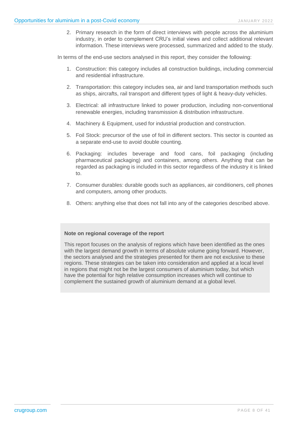2. Primary research in the form of direct interviews with people across the aluminium industry, in order to complement CRU's initial views and collect additional relevant information. These interviews were processed, summarized and added to the study.

In terms of the end-use sectors analysed in this report, they consider the following:

- 1. Construction: this category includes all construction buildings, including commercial and residential infrastructure.
- 2. Transportation: this category includes sea, air and land transportation methods such as ships, aircrafts, rail transport and different types of light & heavy-duty vehicles.
- 3. Electrical: all infrastructure linked to power production, including non-conventional renewable energies, including transmission & distribution infrastructure.
- 4. Machinery & Equipment, used for industrial production and construction.
- 5. Foil Stock: precursor of the use of foil in different sectors. This sector is counted as a separate end-use to avoid double counting.
- 6. Packaging: includes beverage and food cans, foil packaging (including pharmaceutical packaging) and containers, among others. Anything that can be regarded as packaging is included in this sector regardless of the industry it is linked to.
- 7. Consumer durables: durable goods such as appliances, air conditioners, cell phones and computers, among other products.
- 8. Others: anything else that does not fall into any of the categories described above.

#### **Note on regional coverage of the report**

This report focuses on the analysis of regions which have been identified as the ones with the largest demand growth in terms of absolute volume going forward. However, the sectors analysed and the strategies presented for them are not exclusive to these regions. These strategies can be taken into consideration and applied at a local level in regions that might not be the largest consumers of aluminium today, but which have the potential for high relative consumption increases which will continue to complement the sustained growth of aluminium demand at a global level.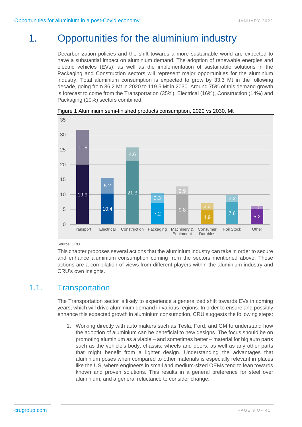# 1. Opportunities for the aluminium industry

<span id="page-8-0"></span>Decarbonization policies and the shift towards a more sustainable world are expected to have a substantial impact on aluminium demand. The adoption of renewable energies and electric vehicles (EVs), as well as the implementation of sustainable solutions in the Packaging and Construction sectors will represent major opportunities for the aluminium industry. Total aluminium consumption is expected to grow by 33.3 Mt in the following decade, going from 86.2 Mt in 2020 to 119.5 Mt in 2030. Around 75% of this demand growth is forecast to come from the Transportation (35%), Electrical (16%), Construction (14%) and Packaging (10%) sectors combined.



<span id="page-8-2"></span>Figure 1 Aluminium semi-finished products consumption, 2020 vs 2030, Mt

#### Source: CRU

This chapter proposes several actions that the aluminium industry can take in order to secure and enhance aluminium consumption coming from the sectors mentioned above. These actions are a compilation of views from different players within the aluminium industry and CRU's own insights.

# 1.1. Transportation

<span id="page-8-1"></span>The Transportation sector is likely to experience a generalized shift towards EVs in coming years, which will drive aluminium demand in various regions. In order to ensure and possibly enhance this expected growth in aluminium consumption, CRU suggests the following steps:

1. Working directly with auto makers such as Tesla, Ford, and GM to understand how the adoption of aluminium can be beneficial to new designs. The focus should be on promoting aluminium as a viable – and sometimes better – material for big auto parts such as the vehicle's body, chassis, wheels and doors, as well as any other parts that might benefit from a lighter design. Understanding the advantages that aluminium poses when compared to other materials is especially relevant in places like the US, where engineers in small and medium-sized OEMs tend to lean towards known and proven solutions. This results in a general preference for steel over aluminium, and a general reluctance to consider change.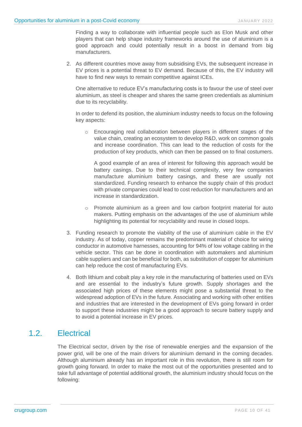Finding a way to collaborate with influential people such as Elon Musk and other players that can help shape industry frameworks around the use of aluminium is a good approach and could potentially result in a boost in demand from big manufacturers.

2. As different countries move away from subsidising EVs, the subsequent increase in EV prices is a potential threat to EV demand. Because of this, the EV industry will have to find new ways to remain competitive against ICEs.

One alternative to reduce EV's manufacturing costs is to favour the use of steel over aluminium, as steel is cheaper and shares the same green credentials as aluminium due to its recyclability.

In order to defend its position, the aluminium industry needs to focus on the following key aspects:

o Encouraging real collaboration between players in different stages of the value chain, creating an ecosystem to develop R&D, work on common goals and increase coordination. This can lead to the reduction of costs for the production of key products, which can then be passed on to final costumers.

A good example of an area of interest for following this approach would be battery casings. Due to their technical complexity, very few companies manufacture aluminium battery casings, and these are usually not standardized. Funding research to enhance the supply chain of this product with private companies could lead to cost reduction for manufacturers and an increase in standardization.

- o Promote aluminium as a green and low carbon footprint material for auto makers. Putting emphasis on the advantages of the use of aluminium while highlighting its potential for recyclability and reuse in closed loops.
- 3. Funding research to promote the viability of the use of aluminium cable in the EV industry. As of today, copper remains the predominant material of choice for wiring conductor in automotive harnesses, accounting for 94% of low voltage cabling in the vehicle sector. This can be done in coordination with automakers and aluminium cable suppliers and can be beneficial for both, as substitution of copper for aluminium can help reduce the cost of manufacturing EVs.
- 4. Both lithium and cobalt play a key role in the manufacturing of batteries used on EVs and are essential to the industry's future growth. Supply shortages and the associated high prices of these elements might pose a substantial threat to the widespread adoption of EVs in the future. Associating and working with other entities and industries that are interested in the development of EVs going forward in order to support these industries might be a good approach to secure battery supply and to avoid a potential increase in EV prices.

# 1.2. Electrical

<span id="page-9-0"></span>The Electrical sector, driven by the rise of renewable energies and the expansion of the power grid, will be one of the main drivers for aluminium demand in the coming decades. Although aluminium already has an important role in this revolution, there is still room for growth going forward. In order to make the most out of the opportunities presented and to take full advantage of potential additional growth, the aluminium industry should focus on the following: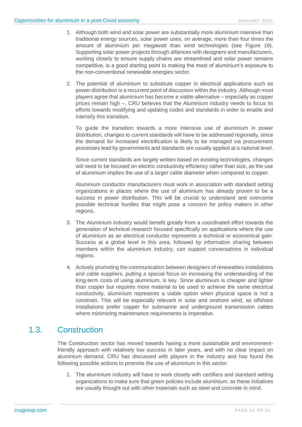- 1. Although both wind and solar power are substantially more aluminium intensive than traditional energy sources, solar power uses, on average, more than four times the amount of aluminium per megawatt than wind technologies (see [Figure 19\)](#page-35-0). Supporting solar power projects through alliances with designers and manufacturers, working closely to ensure supply chains are streamlined and solar power remains competitive, is a good starting point to making the most of aluminium's exposure to the non-conventional renewable energies sector.
- 2. The potential of aluminium to substitute copper in electrical applications such as power distribution is a recurrent point of discussion within the industry. Although most players agree that aluminium has become a viable alternative – especially as copper prices remain high –, CRU believes that the Aluminium industry needs to focus its efforts towards modifying and updating codes and standards in order to enable and intensify this transition.

To guide the transition towards a more intensive use of aluminium in power distribution, changes to current standards will have to be addressed regionally, since the demand for increased electrification is likely to be managed via procurement processes lead by governments and standards are usually applied at a national level.

Since current standards are largely written based on existing technologies, changes will need to be focused on electric conductivity efficiency rather than size, as the use of aluminium implies the use of a larger cable diameter when compared to copper.

Aluminium conductor manufacturers must work in association with standard setting organizations in places where the use of aluminium has already proven to be a success in power distribution. This will be crucial to understand and overcome possible technical hurdles that might pose a concern for policy makers in other regions.

- 3. The Aluminium industry would benefit greatly from a coordinated effort towards the generation of technical research focused specifically on applications where the use of aluminium as an electrical conductor represents a technical or economical gain. Success at a global level in this area, followed by information sharing between members within the aluminium industry, can support conversations in individual regions.
- 4. Actively promoting the communication between designers of renewables installations and cable suppliers, putting a special focus on increasing the understanding of the long-term costs of using aluminium, is key. Since aluminium is cheaper and lighter than copper but requires more material to be used to achieve the same electrical conductivity, aluminium represents a viable option when physical space is not a constrain. This will be especially relevant in solar and onshore wind, as offshore installations prefer copper for submarine and underground transmission cables where minimizing maintenance requirements is imperative.

# 1.3. Construction

<span id="page-10-0"></span>The Construction sector has moved towards having a more sustainable and environmentfriendly approach with relatively low success in later years, and with no clear impact on aluminium demand. CRU has discussed with players in the industry and has found the following possible actions to promote the use of aluminium in this sector:

1. The aluminium industry will have to work closely with certifiers and standard setting organizations to make sure that green policies include aluminium, as these initiatives are usually thought out with other materials such as steel and concrete in mind.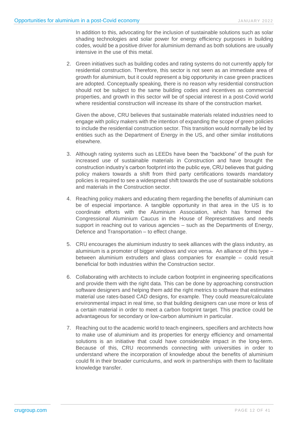In addition to this, advocating for the inclusion of sustainable solutions such as solar shading technologies and solar power for energy efficiency purposes in building codes, would be a positive driver for aluminium demand as both solutions are usually intensive in the use of this metal.

2. Green initiatives such as building codes and rating systems do not currently apply for residential construction. Therefore, this sector is not seen as an immediate area of growth for aluminium, but it could represent a big opportunity in case green practices are adopted. Conceptually speaking, there is no reason why residential construction should not be subject to the same building codes and incentives as commercial properties, and growth in this sector will be of special interest in a post-Covid world where residential construction will increase its share of the construction market.

Given the above, CRU believes that sustainable materials related industries need to engage with policy makers with the intention of expanding the scope of green policies to include the residential construction sector. This transition would normally be led by entities such as the Department of Energy in the US, and other similar institutions elsewhere.

- 3. Although rating systems such as LEEDs have been the "backbone" of the push for increased use of sustainable materials in Construction and have brought the construction industry's carbon footprint into the public eye, CRU believes that guiding policy makers towards a shift from third party certifications towards mandatory policies is required to see a widespread shift towards the use of sustainable solutions and materials in the Construction sector.
- 4. Reaching policy makers and educating them regarding the benefits of aluminium can be of especial importance. A tangible opportunity in that area in the US is to coordinate efforts with the Aluminium Association, which has formed the Congressional Aluminium Caucus in the House of Representatives and needs support in reaching out to various agencies – such as the Departments of Energy, Defence and Transportation – to effect change.
- 5. CRU encourages the aluminium industry to seek alliances with the glass industry, as aluminium is a promoter of bigger windows and vice versa. An alliance of this type – between aluminium extruders and glass companies for example – could result beneficial for both industries within the Construction sector.
- 6. Collaborating with architects to include carbon footprint in engineering specifications and provide them with the right data. This can be done by approaching construction software designers and helping them add the right metrics to software that estimates material use rates-based CAD designs, for example. They could measure/calculate environmental impact in real time, so that building designers can use more or less of a certain material in order to meet a carbon footprint target. This practice could be advantageous for secondary or low-carbon aluminium in particular.
- 7. Reaching out to the academic world to teach engineers, specifiers and architects how to make use of aluminium and its properties for energy efficiency and ornamental solutions is an initiative that could have considerable impact in the long-term. Because of this, CRU recommends connecting with universities in order to understand where the incorporation of knowledge about the benefits of aluminium could fit in their broader curriculums, and work in partnerships with them to facilitate knowledge transfer.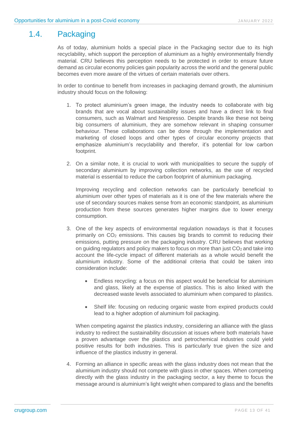# 1.4. Packaging

<span id="page-12-0"></span>As of today, aluminium holds a special place in the Packaging sector due to its high recyclability, which support the perception of aluminium as a highly environmentally friendly material. CRU believes this perception needs to be protected in order to ensure future demand as circular economy policies gain popularity across the world and the general public becomes even more aware of the virtues of certain materials over others.

In order to continue to benefit from increases in packaging demand growth, the aluminium industry should focus on the following:

- 1. To protect aluminium's green image, the industry needs to collaborate with big brands that are vocal about sustainability issues and have a direct link to final consumers, such as Walmart and Nespresso. Despite brands like these not being big consumers of aluminium, they are somehow relevant in shaping consumer behaviour. These collaborations can be done through the implementation and marketing of closed loops and other types of circular economy projects that emphasize aluminium's recyclability and therefor, it's potential for low carbon footprint.
- 2. On a similar note, it is crucial to work with municipalities to secure the supply of secondary aluminium by improving collection networks, as the use of recycled material is essential to reduce the carbon footprint of aluminium packaging.

Improving recycling and collection networks can be particularly beneficial to aluminium over other types of materials as it is one of the few materials where the use of secondary sources makes sense from an economic standpoint, as aluminium production from these sources generates higher margins due to lower energy consumption.

- 3. One of the key aspects of environmental regulation nowadays is that it focuses primarily on CO<sub>2</sub> emissions. This causes big brands to commit to reducing their emissions, putting pressure on the packaging industry. CRU believes that working on guiding regulators and policy makers to focus on more than just  $CO<sub>2</sub>$  and take into account the life-cycle impact of different materials as a whole would benefit the aluminium industry. Some of the additional criteria that could be taken into consideration include:
	- Endless recycling: a focus on this aspect would be beneficial for aluminium and glass, likely at the expense of plastics. This is also linked with the decreased waste levels associated to aluminium when compared to plastics.
	- Shelf life: focusing on reducing organic waste from expired products could lead to a higher adoption of aluminium foil packaging.

When competing against the plastics industry, considering an alliance with the glass industry to redirect the sustainability discussion at issues where both materials have a proven advantage over the plastics and petrochemical industries could yield positive results for both industries. This is particularly true given the size and influence of the plastics industry in general.

4. Forming an alliance in specific areas with the glass industry does not mean that the aluminium industry should not compete with glass in other spaces. When competing directly with the glass industry in the packaging sector, a key theme to focus the message around is aluminium's light weight when compared to glass and the benefits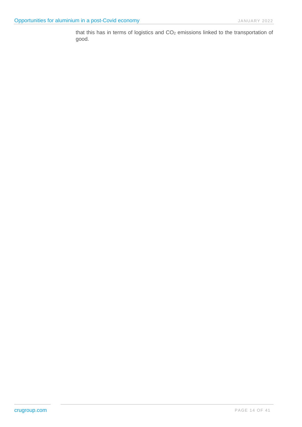<span id="page-13-0"></span>that this has in terms of logistics and CO<sub>2</sub> emissions linked to the transportation of good.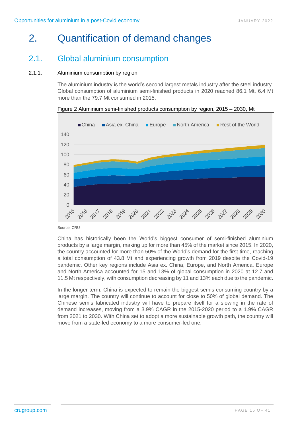# 2. Quantification of demand changes

# <span id="page-14-0"></span>2.1. Global aluminium consumption

#### 2.1.1. Aluminium consumption by region

The aluminium industry is the world's second largest metals industry after the steel industry. Global consumption of aluminium semi-finished products in 2020 reached 86.1 Mt, 6.4 Mt more than the 79.7 Mt consumed in 2015.

<span id="page-14-1"></span>Figure 2 Aluminium semi-finished products consumption by region, 2015 – 2030, Mt



Source: CRU

China has historically been the World's biggest consumer of semi-finished aluminium products by a large margin, making up for more than 45% of the market since 2015. In 2020, the country accounted for more than 50% of the World's demand for the first time, reaching a total consumption of 43.8 Mt and experiencing growth from 2019 despite the Covid-19 pandemic. Other key regions include Asia ex. China, Europe, and North America. Europe and North America accounted for 15 and 13% of global consumption in 2020 at 12.7 and 11.5 Mt respectively, with consumption decreasing by 11 and 13% each due to the pandemic.

In the longer term, China is expected to remain the biggest semis-consuming country by a large margin. The country will continue to account for close to 50% of global demand. The Chinese semis fabricated industry will have to prepare itself for a slowing in the rate of demand increases, moving from a 3.9% CAGR in the 2015-2020 period to a 1.9% CAGR from 2021 to 2030. With China set to adopt a more sustainable growth path, the country will move from a state-led economy to a more consumer-led one.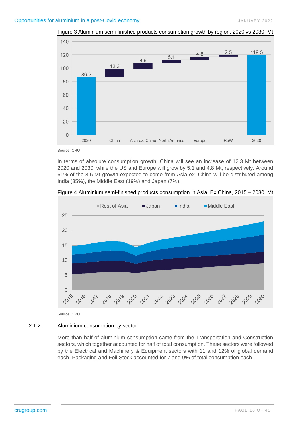

<span id="page-15-0"></span>Figure 3 Aluminium semi-finished products consumption growth by region, 2020 vs 2030, Mt

Source: CRU

In terms of absolute consumption growth, China will see an increase of 12.3 Mt between 2020 and 2030, while the US and Europe will grow by 5.1 and 4.8 Mt, respectively. Around 61% of the 8.6 Mt growth expected to come from Asia ex. China will be distributed among India (35%), the Middle East (19%) and Japan (7%).

<span id="page-15-1"></span>



Source: CRU

#### 2.1.2. Aluminium consumption by sector

More than half of aluminium consumption came from the Transportation and Construction sectors, which together accounted for half of total consumption. These sectors were followed by the Electrical and Machinery & Equipment sectors with 11 and 12% of global demand each. Packaging and Foil Stock accounted for 7 and 9% of total consumption each.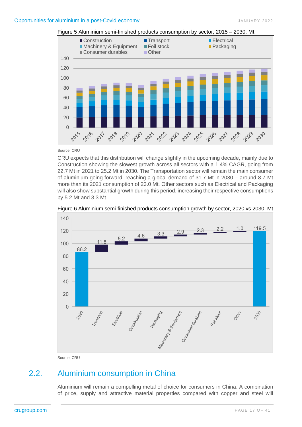

#### <span id="page-16-1"></span>Figure 5 Aluminium semi-finished products consumption by sector, 2015 – 2030, Mt

#### Source: CRU

CRU expects that this distribution will change slightly in the upcoming decade, mainly due to Construction showing the slowest growth across all sectors with a 1.4% CAGR, going from 22.7 Mt in 2021 to 25.2 Mt in 2030. The Transportation sector will remain the main consumer of aluminium going forward, reaching a global demand of 31.7 Mt in 2030 – around 8.7 Mt more than its 2021 consumption of 23.0 Mt. Other sectors such as Electrical and Packaging will also show substantial growth during this period, increasing their respective consumptions by 5.2 Mt and 3.3 Mt.



<span id="page-16-2"></span>Figure 6 Aluminium semi-finished products consumption growth by sector, 2020 vs 2030, Mt

<span id="page-16-0"></span>Source: CRU

# 2.2. Aluminium consumption in China

Aluminium will remain a compelling metal of choice for consumers in China. A combination of price, supply and attractive material properties compared with copper and steel will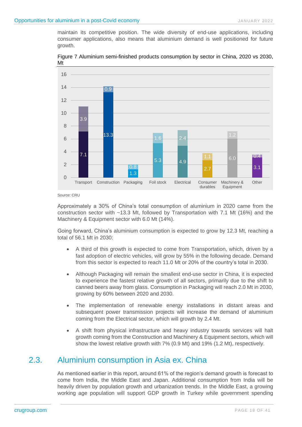maintain its competitive position. The wide diversity of end-use applications, including consumer applications, also means that aluminium demand is well positioned for future growth.

<span id="page-17-1"></span>Figure 7 Aluminium semi-finished products consumption by sector in China, 2020 vs 2030, Mt



Source: CRU

Approximately a 30% of China's total consumption of aluminium in 2020 came from the construction sector with  $\sim$  13.3 Mt, followed by Transportation with 7.1 Mt (16%) and the Machinery & Equipment sector with 6.0 Mt (14%).

Going forward, China's aluminium consumption is expected to grow by 12.3 Mt, reaching a total of 56.1 Mt in 2030:

- A third of this growth is expected to come from Transportation, which, driven by a fast adoption of electric vehicles, will grow by 55% in the following decade. Demand from this sector is expected to reach 11.0 Mt or 20% of the country's total in 2030.
- Although Packaging will remain the smallest end-use sector in China, it is expected to experience the fastest relative growth of all sectors, primarily due to the shift to canned beers away from glass. Consumption in Packaging will reach 2.0 Mt in 2030, growing by 60% between 2020 and 2030.
- The implementation of renewable energy installations in distant areas and subsequent power transmission projects will increase the demand of aluminium coming from the Electrical sector, which will growth by 2.4 Mt.
- A shift from physical infrastructure and heavy industry towards services will halt growth coming from the Construction and Machinery & Equipment sectors, which will show the lowest relative growth with 7% (0.9 Mt) and 19% (1.2 Mt), respectively.

# 2.3. Aluminium consumption in Asia ex. China

<span id="page-17-0"></span>As mentioned earlier in this report, around 61% of the region's demand growth is forecast to come from India, the Middle East and Japan. Additional consumption from India will be heavily driven by population growth and urbanization trends. In the Middle East, a growing working age population will support GDP growth in Turkey while government spending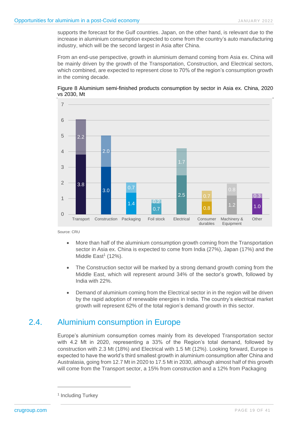supports the forecast for the Gulf countries. Japan, on the other hand, is relevant due to the increase in aluminium consumption expected to come from the country's auto manufacturing industry, which will be the second largest in Asia after China.

From an end-use perspective, growth in aluminium demand coming from Asia ex. China will be mainly driven by the growth of the Transportation, Construction, and Electrical sectors, which combined, are expected to represent close to 70% of the region's consumption growth in the coming decade.



<span id="page-18-1"></span>

Source: CRU

- More than half of the aluminium consumption growth coming from the Transportation sector in Asia ex. China is expected to come from India (27%), Japan (17%) and the Middle East<sup>1</sup> (12%).
- The Construction sector will be marked by a strong demand growth coming from the Middle East, which will represent around 34% of the sector's growth, followed by India with 22%.
- Demand of aluminium coming from the Electrical sector in in the region will be driven by the rapid adoption of renewable energies in India. The country's electrical market growth will represent 62% of the total region's demand growth in this sector.

# 2.4. Aluminium consumption in Europe

<span id="page-18-0"></span>Europe's aluminium consumption comes mainly from its developed Transportation sector with 4.2 Mt in 2020, representing a 33% of the Region's total demand, followed by construction with 2.3 Mt (18%) and Electrical with 1.5 Mt (12%). Looking forward, Europe is expected to have the world's third smallest growth in aluminium consumption after China and Australasia, going from 12.7 Mt in 2020 to 17.5 Mt in 2030, although almost half of this growth will come from the Transport sector, a 15% from construction and a 12% from Packaging

<sup>&</sup>lt;sup>1</sup> Including Turkey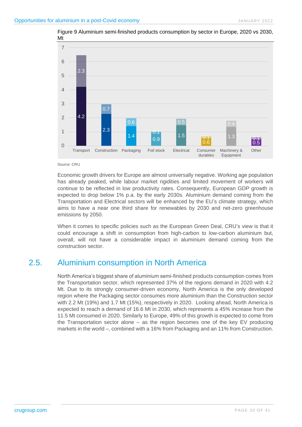

<span id="page-19-1"></span>Figure 9 Aluminium semi-finished products consumption by sector in Europe, 2020 vs 2030, Mt

#### Source: CRU

Economic growth drivers for Europe are almost universally negative. Working age population has already peaked, while labour market rigidities and limited movement of workers will continue to be reflected in low productivity rates. Consequently, European GDP growth is expected to drop below 1% p.a. by the early 2030s. Aluminium demand coming from the Transportation and Electrical sectors will be enhanced by the EU's climate strategy, which aims to have a near one third share for renewables by 2030 and net-zero greenhouse emissions by 2050.

When it comes to specific policies such as the European Green Deal, CRU's view is that it could encourage a shift in consumption from high-carbon to low-carbon aluminium but, overall, will not have a considerable impact in aluminium demand coming from the construction sector.

# 2.5. Aluminium consumption in North America

<span id="page-19-0"></span>North America's biggest share of aluminium semi-finished products consumption comes from the Transportation sector, which represented 37% of the regions demand in 2020 with 4.2 Mt. Due to its strongly consumer-driven economy, North America is the only developed region where the Packaging sector consumes more aluminium than the Construction sector with 2.2 Mt (19%) and 1.7 Mt (15%), respectively in 2020. Looking ahead, North America is expected to reach a demand of 16.6 Mt in 2030, which represents a 45% increase from the 11.5 Mt consumed in 2020. Similarly to Europe, 49% of this growth is expected to come from the Transportation sector alone – as the region becomes one of the key EV producing markets in the world –, combined with a 16% from Packaging and an 11% from Construction.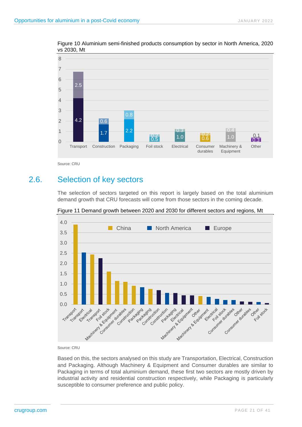<span id="page-20-1"></span>Figure 10 Aluminium semi-finished products consumption by sector in North America, 2020 vs 2030, Mt



<span id="page-20-0"></span>Source: CRU

# 2.6. Selection of key sectors

The selection of sectors targeted on this report is largely based on the total aluminium demand growth that CRU forecasts will come from those sectors in the coming decade.



<span id="page-20-2"></span>Figure 11 Demand growth between 2020 and 2030 for different sectors and regions, Mt

Source: CRU

Based on this, the sectors analysed on this study are Transportation, Electrical, Construction and Packaging. Although Machinery & Equipment and Consumer durables are similar to Packaging in terms of total aluminium demand, these first two sectors are mostly driven by industrial activity and residential construction respectively, while Packaging is particularly susceptible to consumer preference and public policy.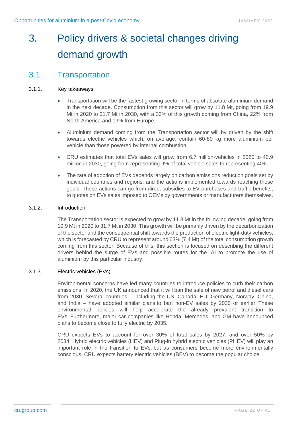# <span id="page-21-0"></span>3. Policy drivers & societal changes driving demand growth

# <span id="page-21-1"></span>3.1. Transportation

#### 3.1.1. Key takeaways

- Transportation will be the fastest growing sector in terms of absolute aluminium demand in the next decade. Consumption from this sector will grow by 11.8 Mt, going from 19.9 Mt in 2020 to 31.7 Mt in 2030, with a 33% of this growth coming from China, 22% from North America and 19% from Europe.
- Aluminium demand coming from the Transportation sector will by driven by the shift towards electric vehicles which, on average, contain 60-80 kg more aluminium per vehicle than those powered by internal combustion.
- CRU estimates that total EVs sales will grow from 6.7 million-vehicles in 2020 to 40.9 million in 2030, going from representing 9% of total vehicle sales to representing 40%.
- The rate of adoption of EVs depends largely on carbon emissions reduction goals set by individual countries and regions, and the actions implemented towards reaching those goals. These actions can go from direct subsidies to EV purchases and traffic benefits, to quotas on EVs sales imposed to OEMs by governments or manufacturers themselves.

#### 3.1.2. Introduction

The Transportation sector is expected to grow by 11.8 Mt in the following decade, going from 19.9 Mt in 2020 to 31.7 Mt in 2030. This growth will be primarily driven by the decarbonization of the sector and the consequential shift towards the production of electric light-duty vehicles, which is forecasted by CRU to represent around 63% (7.4 Mt) of the total consumption growth coming from this sector. Because of this, this section is focused on describing the different drivers behind the surge of EVs and possible routes for the IAI to promote the use of aluminium by this particular industry.

#### 3.1.3. Electric vehicles (EVs)

Environmental concerns have led many countries to introduce policies to curb their carbon emissions. In 2020, the UK announced that it will ban the sale of new petrol and diesel cars from 2030. Several countries – including the US, Canada, EU, Germany, Norway, China, and India – have adopted similar plans to ban non-EV sales by 2035 or earlier. These environmental policies will help accelerate the already prevalent transition to EVs. Furthermore, major car companies like Honda, Mercedes, and GM have announced plans to become close to fully electric by 2035.

CRU expects EVs to account for over 30% of total sales by 2027, and over 50% by 2034. Hybrid electric vehicles (HEV) and Plug-in hybrid electric vehicles (PHEV) will play an important role in the transition to EVs, but as consumers become more environmentally conscious, CRU expects battery electric vehicles (BEV) to become the popular choice.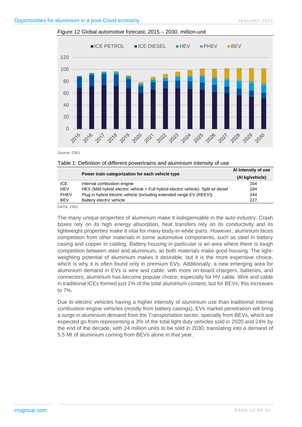<span id="page-22-1"></span>

Source: CRU

#### <span id="page-22-0"></span>Table 1: Definition of different powertrains and aluminium intensity of use

|             | Power train categorization for each vehicle type                                   | Al Intensity of use |
|-------------|------------------------------------------------------------------------------------|---------------------|
|             |                                                                                    | (Al kg/vehicle)     |
| ICE         | Internal combustion engine                                                         | 164                 |
| HEV         | HEX (Mild hybrid electric vehicle + Full hybrid electric vehicle). Split w/ diesel | 184                 |
| <b>PHEV</b> | Plug in hybrid electric vehicle (including extended range EV (REEV))               | 244                 |
| <b>BEV</b>  | Battery electric vehicle                                                           | 227                 |

DATA: CRU

The many unique properties of aluminium make it indispensable in the auto industry. Crash boxes rely on its high energy absorption, heat transfers rely on its conductivity and its lightweight properties make it vital for many body-in-white parts. However, aluminium faces competition from other materials in some automotive components, such as steel in battery casing and copper in cabling. Battery housing in particular is an area where there is tough competition between steel and aluminium, as both materials make good housing. The lightweighting potential of aluminium makes it desirable, but it is the more expensive choice, which is why it is often found only in premium EVs. Additionally, a new emerging area for aluminium demand in EVs is wire and cable: with more on-board chargers, batteries, and connectors, aluminium has become popular choice, especially for HV cable. Wire and cable in traditional ICEs formed just 1% of the total aluminium content, but for BEVs, this increases to 7%.

Due to electric vehicles having a higher intensity of aluminium use than traditional internal combustion engine vehicles (mostly from battery casings), EVs market penetration will bring a surge in aluminium demand from the Transportation sector, specially from BEVs, which are expected go from representing a 3% of the total light duty vehicles sold in 2020 and 24% by the end of the decade, with 24 million units to be sold in 2030, translating into a demand of 5.5 Mt of aluminium coming from BEVs alone in that year.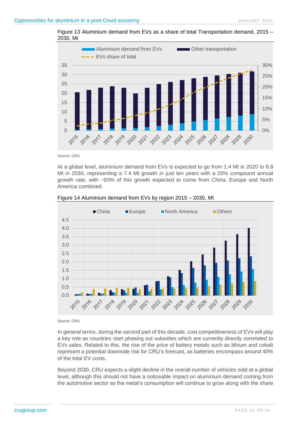<span id="page-23-0"></span>



Source: CRU

At a global level, aluminium demand from EVs is expected to go from 1.4 Mt in 2020 to 8.8 Mt in 2030, representing a 7.4 Mt growth in just ten years with a 20% compound annual growth rate, with ~93% of this growth expected to come from China, Europe and North America combined.



<span id="page-23-1"></span>

Source: CRU

In general terms, during the second part of this decade, cost competitiveness of EVs will play a key role as countries start phasing out subsidies which are currently directly correlated to EVs sales. Related to this, the rise of the price of battery metals such as lithium and cobalt represent a potential downside risk for CRU's forecast, as batteries encompass around 40% of the total EV costs.

Beyond 2030, CRU expects a slight decline in the overall number of vehicles sold at a global level, although this should not have a noticeable impact on aluminium demand coming from the automotive sector as the metal's consumption will continue to grow along with the share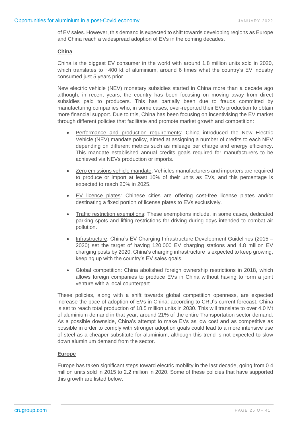of EV sales. However, this demand is expected to shift towards developing regions as Europe and China reach a widespread adoption of EVs in the coming decades.

#### **China**

China is the biggest EV consumer in the world with around 1.8 million units sold in 2020, which translates to ~400 kt of aluminium, around 6 times what the country's EV industry consumed just 5 years prior.

New electric vehicle (NEV) monetary subsidies started in China more than a decade ago although, in recent years, the country has been focusing on moving away from direct subsidies paid to producers. This has partially been due to frauds committed by manufacturing companies who, in some cases, over-reported their EVs production to obtain more financial support. Due to this, China has been focusing on incentivising the EV market through different policies that facilitate and promote market growth and competition:

- Performance and production requirements: China introduced the New Electric Vehicle (NEV) mandate policy, aimed at assigning a number of credits to each NEV depending on different metrics such as mileage per charge and energy efficiency. This mandate established annual credits goals required for manufacturers to be achieved via NEVs production or imports.
- Zero emissions vehicle mandate: Vehicles manufacturers and importers are required to produce or import at least 10% of their units as EVs, and this percentage is expected to reach 20% in 2025.
- EV licence plates: Chinese cities are offering cost-free license plates and/or destinating a fixed portion of license plates to EVs exclusively.
- Traffic restriction exemptions: These exemptions include, in some cases, dedicated parking spots and lifting restrictions for driving during days intended to combat air pollution.
- Infrastructure: China's EV Charging Infrastructure Development Guidelines (2015 2020) set the target of having 120,000 EV charging stations and 4.8 million EV charging posts by 2020. China's charging infrastructure is expected to keep growing, keeping up with the country's EV sales goals.
- Global competition: China abolished foreign ownership restrictions in 2018, which allows foreign companies to produce EVs in China without having to form a joint venture with a local counterpart.

These policies, along with a shift towards global competition openness, are expected increase the pace of adoption of EVs in China: according to CRU's current forecast, China is set to reach total production of 18.5 million units in 2030. This will translate to over 4.0 Mt of aluminium demand in that year, around 21% of the entire Transportation sector demand. As a possible downside, China's attempt to make EVs as low cost and as competitive as possible in order to comply with stronger adoption goals could lead to a more intensive use of steel as a cheaper substitute for aluminium, although this trend is not expected to slow down aluminium demand from the sector.

#### **Europe**

Europe has taken significant steps toward electric mobility in the last decade, going from 0.4 million units sold in 2015 to 2.2 million in 2020. Some of these policies that have supported this growth are listed below: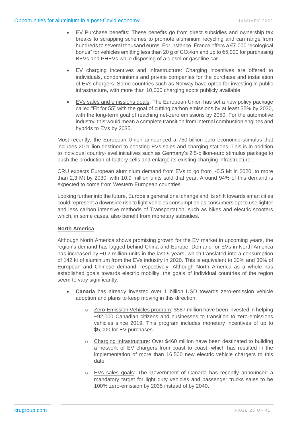- EV Purchase benefits: These benefits go from direct subsidies and ownership tax breaks to scrapping schemes to promote aluminium recycling and can range from hundreds to several thousand euros. For instance, France offers a €7,000 "ecological bonus" for vehicles emitting less than 20 g of CO2/km and up to €5,000 for purchasing BEVs and PHEVs while disposing of a diesel or gasoline car.
- EV charging incentives and infrastructure: Charging incentives are offered to individuals, condominiums and private companies for the purchase and installation of EVs chargers. Some countries such as Norway have opted for investing in public infrastructure, with more than 10,000 charging spots publicly available.
- EVs sales and emissions goals: The European Union has set a new policy package called "Fit for 55" with the goal of cutting carbon emissions by at least 55% by 2030, with the long-term goal of reaching net-zero emissions by 2050. For the automotive industry, this would mean a complete transition from internal combustion engines and hybrids to EVs by 2035.

Most recently, the European Union announced a 750-billion-euro economic stimulus that includes 20 billion destined to boosting EVs sales and charging stations. This is in addition to individual country-level initiatives such as Germany's 2.5-billion-euro stimulus package to push the production of battery cells and enlarge its existing charging infrastructure.

CRU expects European aluminium demand from EVs to go from ~0.5 Mt in 2020, to more than 2.3 Mt by 2030, with 10.9 million units sold that year. Around 94% of this demand is expected to come from Western European countries.

Looking further into the future, Europe's generational change and its shift towards smart cities could represent a downside risk to light vehicles consumption as consumers opt to use lighter and less carbon intensive methods of Transportation, such as bikes and electric scooters which, in some cases, also benefit from monetary subsidies.

#### **North America**

Although North America shows promising growth for the EV market in upcoming years, the region's demand has lagged behind China and Europe. Demand for EVs in North America has increased by ~0.2 million units in the last 5 years, which translated into a consumption of 142 kt of aluminium from the EVs industry in 2020. This is equivalent to 30% and 36% of European and Chinese demand, respectively. Although North America as a whole has established goals towards electric mobility, the goals of individual countries of the region seem to vary significantly:

- **Canada** has already invested over 1 billion USD towards zero-emission vehicle adoption and plans to keep moving in this direction:
	- o Zero-Emission Vehicles program: \$587 million have been invested in helping ~92,000 Canadian citizens and businesses to transition to zero-emissions vehicles since 2019. This program includes monetary incentives of up to \$5,000 for EV purchases.
	- o Charging Infrastructure: Over \$460 million have been destinated to building a network of EV chargers from coast to coast, which has resulted in the implementation of more than 16,500 new electric vehicle chargers to this date.
	- o EVs sales goals: The Government of Canada has recently announced a mandatory target for light duty vehicles and passenger trucks sales to be 100% zero-emission by 2035 instead of by 2040.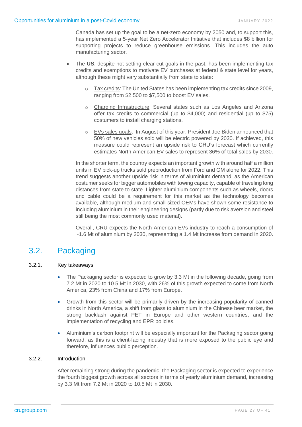Canada has set up the goal to be a net-zero economy by 2050 and, to support this, has implemented a 5-year Net Zero Accelerator Initiative that includes \$8 billion for supporting projects to reduce greenhouse emissions. This includes the auto manufacturing sector.

- The US, despite not setting clear-cut goals in the past, has been implementing tax credits and exemptions to motivate EV purchases at federal & state level for years, although these might vary substantially from state to state:
	- o Tax credits: The United States has been implementing tax credits since 2009, ranging from \$2,500 to \$7,500 to boost EV sales.
	- o Charging Infrastructure: Several states such as Los Angeles and Arizona offer tax credits to commercial (up to \$4,000) and residential (up to \$75) costumers to install charging stations.
	- o EVs sales goals: In August of this year, President Joe Biden announced that 50% of new vehicles sold will be electric powered by 2030. If achieved, this measure could represent an upside risk to CRU's forecast which currently estimates North American EV sales to represent 36% of total sales by 2030.

In the shorter term, the country expects an important growth with around half a million units in EV pick-up trucks sold preproduction from Ford and GM alone for 2022. This trend suggests another upside risk in terms of aluminium demand, as the American costumer seeks for bigger automobiles with towing capacity, capable of traveling long distances from state to state. Lighter aluminium components such as wheels, doors and cable could be a requirement for this market as the technology becomes available, although medium and small-sized OEMs have shown some resistance to including aluminium in their engineering designs (partly due to risk aversion and steel still being the most commonly used material).

<span id="page-26-0"></span>Overall, CRU expects the North American EVs industry to reach a consumption of ~1.6 Mt of aluminium by 2030, representing a 1.4 Mt increase from demand in 2020.

# 3.2. Packaging

#### 3.2.1. Key takeaways

- The Packaging sector is expected to grow by 3.3 Mt in the following decade, going from 7.2 Mt in 2020 to 10.5 Mt in 2030, with 26% of this growth expected to come from North America, 23% from China and 17% from Europe.
- Growth from this sector will be primarily driven by the increasing popularity of canned drinks in North America, a shift from glass to aluminium in the Chinese beer market, the strong backlash against PET in Europe and other western countries, and the implementation of recycling and EPR policies.
- Aluminium's carbon footprint will be especially important for the Packaging sector going forward, as this is a client-facing industry that is more exposed to the public eye and therefore, influences public perception.

#### 3.2.2. Introduction

After remaining strong during the pandemic, the Packaging sector is expected to experience the fourth biggest growth across all sectors in terms of yearly aluminium demand, increasing by 3.3 Mt from 7.2 Mt in 2020 to 10.5 Mt in 2030.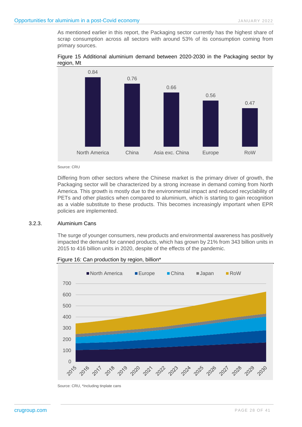As mentioned earlier in this report, the Packaging sector currently has the highest share of scrap consumption across all sectors with around 53% of its consumption coming from primary sources.

<span id="page-27-0"></span>



Source: CRU

Differing from other sectors where the Chinese market is the primary driver of growth, the Packaging sector will be characterized by a strong increase in demand coming from North America. This growth is mostly due to the environmental impact and reduced recyclability of PETs and other plastics when compared to aluminium, which is starting to gain recognition as a viable substitute to these products. This becomes increasingly important when EPR policies are implemented.

#### 3.2.3. Aluminium Cans

The surge of younger consumers, new products and environmental awareness has positively impacted the demand for canned products, which has grown by 21% from 343 billion units in 2015 to 416 billion units in 2020, despite of the effects of the pandemic.



<span id="page-27-1"></span>Figure 16: Can production by region, billion\*

Source: CRU, \*Including tinplate cans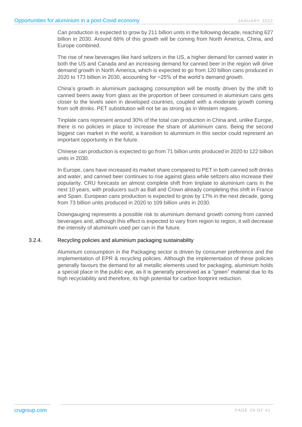Can production is expected to grow by 211 billion units in the following decade, reaching 627 billion in 2030. Around 66% of this growth will be coming from North America, China, and Europe combined.

The rise of new beverages like hard seltzers in the US, a higher demand for canned water in both the US and Canada and an increasing demand for canned beer in the region will drive demand growth in North America, which is expected to go from 120 billion cans produced in 2020 to 173 billion in 2030, accounting for ~25% of the world's demand growth.

China's growth in aluminium packaging consumption will be mostly driven by the shift to canned beers away from glass as the proportion of beer consumed in aluminium cans gets closer to the levels seen in developed countries, coupled with a moderate growth coming from soft drinks. PET substitution will not be as strong as in Western regions.

Tinplate cans represent around 30% of the total can production in China and, unlike Europe, there is no policies in place to increase the share of aluminium cans. Being the second biggest can market in the world, a transition to aluminium in this sector could represent an important opportunity in the future.

Chinese can production is expected to go from 71 billion units produced in 2020 to 122 billion units in 2030.

In Europe, cans have increased its market share compared to PET in both canned soft drinks and water, and canned beer continues to rise against glass while seltzers also increase their popularity. CRU forecasts an almost complete shift from tinplate to aluminium cans in the next 10 years, with producers such as Ball and Crown already completing this shift in France and Spain. European cans production is expected to grow by 17% in the next decade, going from 73 billion units produced in 2020 to 109 billion units in 2030.

Downgauging represents a possible risk to aluminium demand growth coming from canned beverages and, although this effect is expected to vary from region to region, it will decrease the intensity of aluminium used per can in the future.

#### 3.2.4. Recycling policies and aluminium packaging sustainability

Aluminium consumption in the Packaging sector is driven by consumer preference and the implementation of EPR & recycling policies. Although the implementation of these policies generally favours the demand for all metallic elements used for packaging, aluminium holds a special place in the public eye, as it is generally perceived as a "green" material due to its high recyclability and therefore, its high potential for carbon footprint reduction.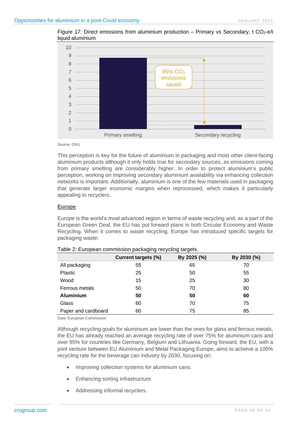

<span id="page-29-1"></span>Figure 17: Direct emissions from aluminium production – Primary vs Secondary, t  $CO<sub>2</sub>$ -e/t liquid aluminium

Source: CRU

This perception is key for the future of aluminium in packaging and most other client-facing aluminium products although it only holds true for secondary sources, as emissions coming from primary smelting are considerably higher. In order to protect aluminium's public perception, working on improving secondary aluminium availability via enhancing collection networks is important. Additionally, aluminium is one of the few materials used in packaging that generate larger economic margins when reprocessed, which makes it particularly appealing to recyclers.

#### **Europe**

Europe is the world's most advanced region in terms of waste recycling and, as a part of the European Green Deal, the EU has put forward plans in both Circular Economy and Waste Recycling. When it comes to waste recycling, Europe has introduced specific targets for packaging waste:

|                     | <b>Current targets (%)</b> | By 2025 (%) | By 2030 (%) |
|---------------------|----------------------------|-------------|-------------|
| All packaging       | 55                         | 65          | 70          |
| Plastic             | 25<br>50                   |             | 55          |
| Wood                | 15                         | 25          | 30          |
| Ferrous metals      | 50                         | 70          | 80          |
| <b>Aluminium</b>    | 50                         | 50          | 60          |
| Glass               | 60                         | 70          | 75          |
| Paper and cardboard | 60                         | 75          | 85          |

<span id="page-29-0"></span>Table 2: European commission packaging recycling targets.

Data: European Commission

Although recycling goals for aluminium are lower than the ones for glass and ferrous metals, the EU has already reached an average recycling rate of over 75% for aluminium cans and over 95% for countries like Germany, Belgium and Lithuania. Going forward, the EU, with a joint venture between EU Aluminium and Metal Packaging Europe, aims to achieve a 100% recycling rate for the beverage can industry by 2030, focusing on:

- Improving collection systems for aluminium cans.
- Enhancing sorting infrastructure.
- Addressing informal recyclers.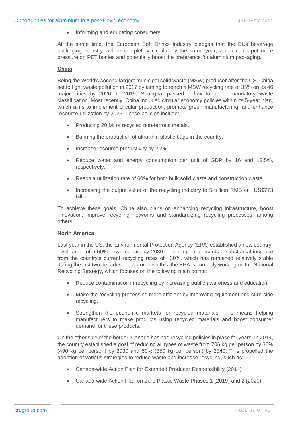• Informing and educating consumers.

At the same time, the European Soft Drinks Industry pledges that the EUs beverage packaging industry will be completely circular by the same year, which could put more pressure on PET bottles and potentially boost the preference for aluminium packaging.

#### **China**

Being the World's second largest municipal solid waste (MSW) producer after the US, China set to fight waste pollution in 2017 by aiming to reach a MSW recycling rate of 35% on its 46 major cities by 2020. In 2019, Shanghai passed a law to adopt mandatory waste classification. Most recently, China included circular economy policies within its 5-year plan, which aims to implement circular production, promote green manufacturing, and enhance resource utilization by 2025. These policies include:

- Producing 20 Mt of recycled non-ferrous metals.
- Banning the production of ultra-thin plastic bags in the country.
- Increase resource productivity by 20%.
- Reduce water and energy consumption per unit of GDP by 16 and 13.5%, respectively.
- Reach a utilization rate of 60% for both bulk solid waste and construction waste.
- Increasing the output value of the recycling industry to 5 trillion RMB or ~US\$773 billion.

To achieve these goals, China also plans on enhancing recycling infrastructure, boost innovation, improve recycling networks and standardizing recycling processes, among others.

#### **North America**

Last year in the US, the Environmental Protection Agency (EPA) established a new countrylevel target of a 50% recycling rate by 2030. This target represents a substantial increase from the country's current recycling rates of ~30%, which has remained relatively stable during the last two decades. To accomplish this, the EPA is currently working on the National Recycling Strategy, which focuses on the following main points:

- Reduce contamination in recycling by increasing public awareness and education.
- Make the recycling processing more efficient by improving equipment and curb-side recycling.
- Strengthen the economic markets for recycled materials. This means helping manufacturers to make products using recycled materials and boost consumer demand for these products.

On the other side of the border, Canada has had recycling policies in place for years. In 2014, the country established a goal of reducing all types of waste from 706 kg per person by 30% (490 kg per person) by 2030 and 50% (350 kg per person) by 2040. This propelled the adoption of various strategies to reduce waste and increase recycling, such as:

- Canada-wide Action Plan for Extended Producer Responsibility (2014)
- Canada-wide Action Plan on Zero Plastic Waste Phases 1 (2019) and 2 (2020).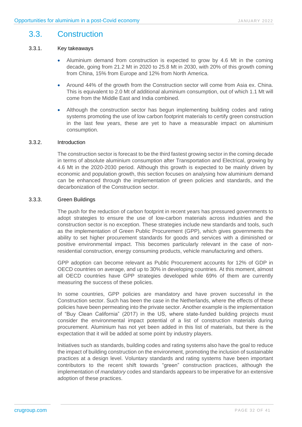### 3.3. Construction

#### 3.3.1. Key takeaways

- <span id="page-31-0"></span>• Aluminium demand from construction is expected to grow by 4.6 Mt in the coming decade, going from 21.2 Mt in 2020 to 25.8 Mt in 2030, with 20% of this growth coming from China, 15% from Europe and 12% from North America.
- Around 44% of the growth from the Construction sector will come from Asia ex. China. This is equivalent to 2.0 Mt of additional aluminium consumption, out of which 1.1 Mt will come from the Middle East and India combined.
- Although the construction sector has begun implementing building codes and rating systems promoting the use of low carbon footprint materials to certify green construction in the last few years, these are yet to have a measurable impact on aluminium consumption.

#### 3.3.2. Introduction

The construction sector is forecast to be the third fastest growing sector in the coming decade in terms of absolute aluminium consumption after Transportation and Electrical, growing by 4.6 Mt in the 2020-2030 period. Although this growth is expected to be mainly driven by economic and population growth, this section focuses on analysing how aluminium demand can be enhanced through the implementation of green policies and standards, and the decarbonization of the Construction sector.

#### 3.3.3. Green Buildings

The push for the reduction of carbon footprint in recent years has pressured governments to adopt strategies to ensure the use of low-carbon materials across industries and the construction sector is no exception. These strategies include new standards and tools, such as the implementation of Green Public Procurement (GPP), which gives governments the ability to set higher procurement standards for goods and services with a diminished or positive environmental impact. This becomes particularly relevant in the case of nonresidential construction, energy consuming products, vehicle manufacturing and others.

GPP adoption can become relevant as Public Procurement accounts for 12% of GDP in OECD countries on average, and up to 30% in developing countries. At this moment, almost all OECD countries have GPP strategies developed while 69% of them are currently measuring the success of these policies.

In some countries, GPP policies are mandatory and have proven successful in the Construction sector. Such has been the case in the Netherlands, where the effects of these policies have been permeating into the private sector. Another example is the implementation of "Buy Clean California" (2017) in the US, where state-funded building projects must consider the environmental impact potential of a list of construction materials during procurement. Aluminium has not yet been added in this list of materials, but there is the expectation that it will be added at some point by industry players.

Initiatives such as standards, building codes and rating systems also have the goal to reduce the impact of building construction on the environment, promoting the inclusion of sustainable practices at a design level. Voluntary standards and rating systems have been important contributors to the recent shift towards "green" construction practices, although the implementation of *mandatory* codes and standards appears to be imperative for an extensive adoption of these practices.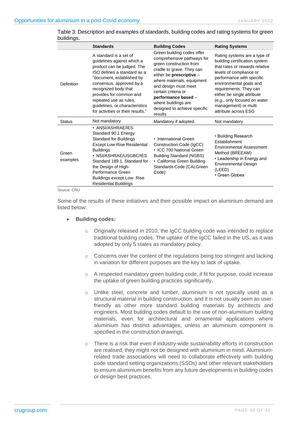|                   | <b>Standards</b>                                                                                                                                                                                                                                                                                                               | <b>Building Codes</b>                                                                                                                                                                                                                                                                                              | <b>Rating Systems</b>                                                                                                                                                                                                                                                                                                      |
|-------------------|--------------------------------------------------------------------------------------------------------------------------------------------------------------------------------------------------------------------------------------------------------------------------------------------------------------------------------|--------------------------------------------------------------------------------------------------------------------------------------------------------------------------------------------------------------------------------------------------------------------------------------------------------------------|----------------------------------------------------------------------------------------------------------------------------------------------------------------------------------------------------------------------------------------------------------------------------------------------------------------------------|
| Definition        | A standard is a set of<br>guidelines against which a<br>product can be judged. The<br>ISO defines a standard as a<br>"document, established by<br>consensus, approved by a<br>recognized body that<br>provides for common and<br>repeated use as rules,<br>guidelines, or characteristics<br>for activities or their results." | Green building codes offer<br>comprehensive pathways for<br>green construction from<br>cradle to grave. They can<br>either be prescriptive -<br>where materials, equipment<br>and design must meet<br>certain criteria or<br>performance based -<br>where buildings are<br>designed to achieve specific<br>results | Rating systems are a type of<br>building certification system<br>that rates or rewards relative<br>levels of compliance or<br>performance with specific<br>environmental goals and<br>requirements. They can<br>either be single attribute<br>(e.g., only focused on water<br>management) or multi<br>attribute across ESG |
| <b>Status</b>     | Not mandatory                                                                                                                                                                                                                                                                                                                  | Mandatory if adopted.                                                                                                                                                                                                                                                                                              | Not mandatory                                                                                                                                                                                                                                                                                                              |
| Green<br>examples | • ANSI/ASHRAE/IES<br>Standard 90.1 Energy<br><b>Standard for Buildings</b><br><b>Except Low-Rise Residential</b><br><b>Buildings</b><br>• NSI/ASHRAE/USGBC/IES<br>Standard 189.1, Standard for<br>the Design of High-<br>Performance Green<br>Buildings except Low-Rise<br><b>Residential Buildings</b>                        | • International Green<br>Construction Code (IgCC)<br>• ICC 700 National Green<br><b>Building Standard (NGBS)</b><br>• California Green Building<br>Standards Code (CALGreen<br>Code)                                                                                                                               | • Building Research<br>Establishment<br><b>Environmental Assessment</b><br>Method (BREEAM)<br>• Leadership in Energy and<br><b>Environmental Design</b><br>(LEED)<br>• Green Globes                                                                                                                                        |

<span id="page-32-0"></span>

| Table 3: Description and examples of standards, building codes and rating systems for green |  |
|---------------------------------------------------------------------------------------------|--|
| buildings.                                                                                  |  |

Source: CRU

Some of the results of these initiatives and their possible impact on aluminium demand are listed below:

- **Building codes:**
	- $\circ$  Originally released in 2010, the IgCC building code was intended to replace traditional building codes. The uptake of the IgCC failed in the US, as it was adopted by only 5 states as mandatory policy.
	- $\circ$  Concerns over the content of the regulations being too stringent and lacking in variation for different purposes are the key to lack of uptake.
	- o A respected mandatory green building code, if fit for purpose, could increase the uptake of green building practices significantly.
	- o Unlike steel, concrete and lumber, aluminium is not typically used as a structural material in building construction, and it is not usually seen as userfriendly as other more standard building materials by architects and engineers. Most building codes default to the use of non-aluminium building materials, even for architectural and ornamental applications where aluminium has distinct advantages, unless an aluminium component is specified in the construction drawings.
	- o There is a risk that even if industry-wide sustainability efforts in construction are realised, they might not be designed with aluminium in mind. Aluminiumrelated trade associations will need to collaborate effectively with building code standard setting organizations (SSOs) and other relevant stakeholders to ensure aluminium benefits from any future developments in building codes or design best practices.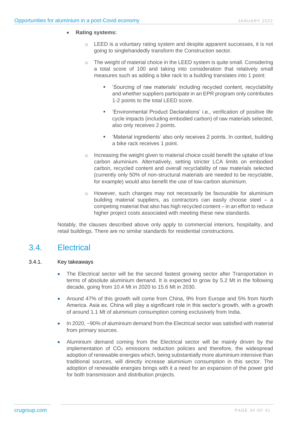#### • **Rating systems:**

- o LEED is a voluntary rating system and despite apparent successes, it is not going to singlehandedly transform the Construction sector.
- $\circ$  The weight of material choice in the LEED system is quite small. Considering a total score of 100 and taking into consideration that relatively small measures such as adding a bike rack to a building translates into 1 point:
	- 'Sourcing of raw materials' including recycled content, recyclability and whether suppliers participate in an EPR program only contributes 1-2 points to the total LEED score.
	- 'Environmental Product Declarations' i.e., verification of positive life cycle impacts (including embodied carbon) of raw materials selected, also only receives 2 points.
	- 'Material ingredients' also only receives 2 points. In context, building a bike rack receives 1 point.
- o Increasing the weight given to material choice could benefit the uptake of low carbon aluminium. Alternatively, setting stricter LCA limits on embodied carbon, recycled content and overall recyclability of raw materials selected (currently only 50% of non-structural materials are needed to be recyclable, for example) would also benefit the use of low-carbon aluminium.
- o However, such changes may not necessarily be favourable for aluminium building material suppliers, as contractors can easily choose steel – a competing material that also has high recycled content – in an effort to reduce higher project costs associated with meeting these new standards.

<span id="page-33-0"></span>Notably, the clauses described above only apply to commercial interiors, hospitality, and retail buildings. There are no similar standards for residential constructions.

# 3.4. Electrical

#### 3.4.1. Key takeaways

- The Electrical sector will be the second fastest growing sector after Transportation in terms of absolute aluminium demand. It is expected to grow by 5.2 Mt in the following decade, going from 10.4 Mt in 2020 to 15.6 Mt in 2030.
- Around 47% of this growth will come from China, 9% from Europe and 5% from North America. Asia ex. China will play a significant role in this sector's growth, with a growth of around 1.1 Mt of aluminium consumption coming exclusively from India.
- In 2020, ~90% of aluminium demand from the Electrical sector was satisfied with material from primary sources.
- Aluminium demand coming from the Electrical sector will be mainly driven by the implementation of CO<sub>2</sub> emissions reduction policies and therefore, the widespread adoption of renewable energies which, being substantially more aluminium intensive than traditional sources, will directly increase aluminium consumption in this sector. The adoption of renewable energies brings with it a need for an expansion of the power grid for both transmission and distribution projects.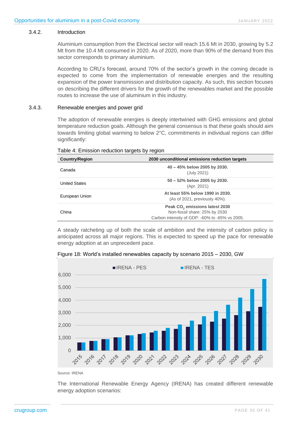#### 3.4.2. Introduction

Aluminium consumption from the Electrical sector will reach 15.6 Mt in 2030, growing by 5.2 Mt from the 10.4 Mt consumed in 2020. As of 2020, more than 90% of the demand from this sector corresponds to primary aluminium.

According to CRU's forecast, around 70% of the sector's growth in the coming decade is expected to come from the implementation of renewable energies and the resulting expansion of the power transmission and distribution capacity. As such, this section focuses on describing the different drivers for the growth of the renewables market and the possible routes to increase the use of aluminium in this industry.

#### 3.4.3. Renewable energies and power grid

The adoption of renewable energies is deeply intertwined with GHG emissions and global temperature reduction goals. Although the general consensus is that these goals should aim towards limiting global warming to below 2°C, commitments in individual regions can differ significantly:

|                       | ີ                                                                                                                             |  |  |
|-----------------------|-------------------------------------------------------------------------------------------------------------------------------|--|--|
| <b>Country/Region</b> | 2030 unconditional emissions reduction targets                                                                                |  |  |
| Canada                | $40 - 45\%$ below 2005 by 2030.<br>(July 2021)                                                                                |  |  |
| <b>United States</b>  | 50 - 52% below 2005 by 2030.<br>(Apr. 2021)                                                                                   |  |  |
| European Union        | At least 55% below 1990 in 2030.<br>(As of 2021, previously 40%).                                                             |  |  |
| China                 | Peak CO <sub>2</sub> emissions latest 2030<br>Non-fossil share: 25% by 2030<br>Carbon intensity of GDP: -60% to -65% vs 2005. |  |  |

<span id="page-34-0"></span>Table 4: Emission reduction targets by region

A steady ratcheting up of both the scale of ambition and the intensity of carbon policy is anticipated across all major regions. This is expected to speed up the pace for renewable energy adoption at an unprecedent pace.

<span id="page-34-1"></span>Figure 18: World's installed renewables capacity by scenario 2015 – 2030, GW



Source: IRENA

The International Renewable Energy Agency (IRENA) has created different renewable energy adoption scenarios: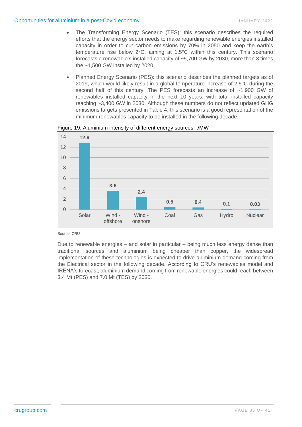- The Transforming Energy Scenario (TES): this scenario describes the required efforts that the energy sector needs to make regarding renewable energies installed capacity in order to cut carbon emissions by 70% in 2050 and keep the earth's temperature rise below 2°C, aiming at 1.5°C within this century. This scenario forecasts a renewable's installed capacity of ~5,700 GW by 2030, more than 3 times the ~1,500 GW installed by 2020.
- Planned Energy Scenario (PES): this scenario describes the planned targets as of 2019, which would likely result in a global temperature increase of 2.5°C during the second half of this century. The PES forecasts an increase of ~1,900 GW of renewables installed capacity in the next 10 years, with total installed capacity reaching ~3,400 GW in 2030. Although these numbers do not reflect updated GHG emissions targets presented in Table 4, this scenario is a good representation of the minimum renewables capacity to be installed in the following decade.



<span id="page-35-0"></span>Figure 19: Aluminium intensity of different energy sources, t/MW

#### Source: CRU

Due to renewable energies – and solar in particular – being much less energy dense than traditional sources and aluminium being cheaper than copper, the widespread implementation of these technologies is expected to drive aluminium demand coming from the Electrical sector in the following decade. According to CRU's renewables model and IRENA's forecast, aluminium demand coming from renewable energies could reach between 3.4 Mt (PES) and 7.0 Mt (TES) by 2030.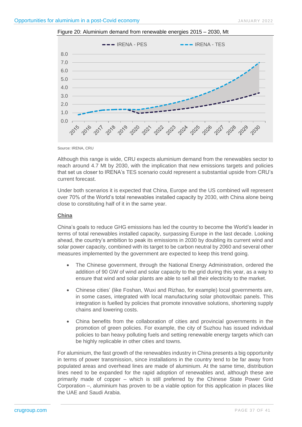<span id="page-36-0"></span>



Source: IRENA, CRU

Although this range is wide, CRU expects aluminium demand from the renewables sector to reach around 4.7 Mt by 2030, with the implication that new emissions targets and policies that set us closer to IRENA's TES scenario could represent a substantial upside from CRU's current forecast.

Under both scenarios it is expected that China, Europe and the US combined will represent over 70% of the World's total renewables installed capacity by 2030, with China alone being close to constituting half of it in the same year.

#### **China**

China's goals to reduce GHG emissions has led the country to become the World's leader in terms of total renewables installed capacity, surpassing Europe in the last decade. Looking ahead, the country's ambition to peak its emissions in 2030 by doubling its current wind and solar power capacity, combined with its target to be carbon neutral by 2060 and several other measures implemented by the government are expected to keep this trend going.

- The Chinese government, through the National Energy Administration, ordered the addition of 90 GW of wind and solar capacity to the grid during this year, as a way to ensure that wind and solar plants are able to sell all their electricity to the market.
- Chinese cities' (like Foshan, Wuxi and Rizhao, for example) local governments are, in some cases, integrated with local manufacturing solar photovoltaic panels. This integration is fuelled by policies that promote innovative solutions, shortening supply chains and lowering costs.
- China benefits from the collaboration of cities and provincial governments in the promotion of green policies. For example, the city of Suzhou has issued individual policies to ban heavy polluting fuels and setting renewable energy targets which can be highly replicable in other cities and towns.

For aluminium, the fast growth of the renewables industry in China presents a big opportunity in terms of power transmission, since installations in the country tend to be far away from populated areas and overhead lines are made of aluminium. At the same time, distribution lines need to be expanded for the rapid adoption of renewables and, although these are primarily made of copper – which is still preferred by the Chinese State Power Grid Corporation –, aluminium has proven to be a viable option for this application in places like the UAE and Saudi Arabia.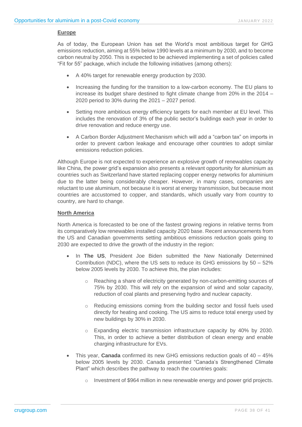#### **Europe**

As of today, the European Union has set the World's most ambitious target for GHG emissions reduction, aiming at 55% below 1990 levels at a minimum by 2030, and to become carbon neutral by 2050. This is expected to be achieved implementing a set of policies called "Fit for 55" package, which include the following initiatives (among others):

- A 40% target for renewable energy production by 2030.
- Increasing the funding for the transition to a low-carbon economy. The EU plans to increase its budget share destined to fight climate change from 20% in the 2014 – 2020 period to 30% during the 2021 – 2027 period.
- Setting more ambitious energy efficiency targets for each member at EU level. This includes the renovation of 3% of the public sector's buildings each year in order to drive renovation and reduce energy use.
- A Carbon Border Adjustment Mechanism which will add a "carbon tax" on imports in order to prevent carbon leakage and encourage other countries to adopt similar emissions reduction policies.

Although Europe is not expected to experience an explosive growth of renewables capacity like China, the power grid's expansion also presents a relevant opportunity for aluminium as countries such as Switzerland have started replacing copper energy networks for aluminium due to the latter being considerably cheaper. However, in many cases, companies are reluctant to use aluminium, not because it is worst at energy transmission, but because most countries are accustomed to copper, and standards, which usually vary from country to country, are hard to change.

#### **North America**

North America is forecasted to be one of the fastest growing regions in relative terms from its comparatively low renewables installed capacity 2020 base. Recent announcements from the US and Canadian governments setting ambitious emissions reduction goals going to 2030 are expected to drive the growth of the industry in the region:

- In **The US**, President Joe Biden submitted the New Nationally Determined Contribution (NDC), where the US sets to reduce its GHG emissions by 50 – 52% below 2005 levels by 2030. To achieve this, the plan includes:
	- o Reaching a share of electricity generated by non-carbon-emitting sources of 75% by 2030. This will rely on the expansion of wind and solar capacity, reduction of coal plants and preserving hydro and nuclear capacity.
	- $\circ$  Reducing emissions coming from the building sector and fossil fuels used directly for heating and cooking. The US aims to reduce total energy used by new buildings by 30% in 2030.
	- o Expanding electric transmission infrastructure capacity by 40% by 2030. This, in order to achieve a better distribution of clean energy and enable charging infrastructure for EVs.
- This year, **Canada** confirmed its new GHG emissions reduction goals of 40 45% below 2005 levels by 2030. Canada presented "Canada's Strengthened Climate Plant" which describes the pathway to reach the countries goals:
	- o Investment of \$964 million in new renewable energy and power grid projects.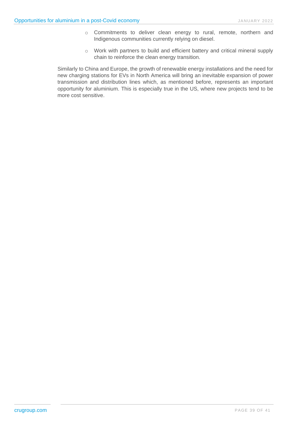- o Commitments to deliver clean energy to rural, remote, northern and Indigenous communities currently relying on diesel.
- o Work with partners to build and efficient battery and critical mineral supply chain to reinforce the clean energy transition.

Similarly to China and Europe, the growth of renewable energy installations and the need for new charging stations for EVs in North America will bring an inevitable expansion of power transmission and distribution lines which, as mentioned before, represents an important opportunity for aluminium. This is especially true in the US, where new projects tend to be more cost sensitive.